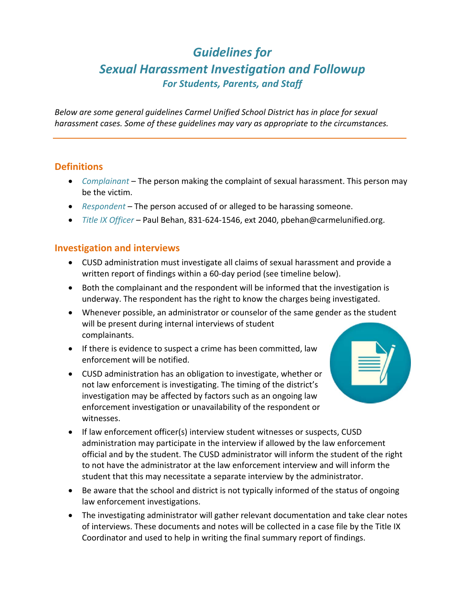# *Guidelines for Sexual Harassment Investigation and Followup For Students, Parents, and Staff*

*Below are some general guidelines Carmel Unified School District has in place for sexual harassment cases. Some of these guidelines may vary as appropriate to the circumstances.*

## **Definitions**

- *Complainant* The person making the complaint of sexual harassment. This person may be the victim.
- *Respondent* The person accused of or alleged to be harassing someone.
- *Title IX Officer* Paul Behan, 831‐624‐1546, ext 2040, pbehan@carmelunified.org.

#### **Investigation and interviews**

- CUSD administration must investigate all claims of sexual harassment and provide a written report of findings within a 60‐day period (see timeline below).
- Both the complainant and the respondent will be informed that the investigation is underway. The respondent has the right to know the charges being investigated.
- Whenever possible, an administrator or counselor of the same gender as the student will be present during internal interviews of student complainants.
- If there is evidence to suspect a crime has been committed, law enforcement will be notified.
- CUSD administration has an obligation to investigate, whether or not law enforcement is investigating. The timing of the district's investigation may be affected by factors such as an ongoing law enforcement investigation or unavailability of the respondent or witnesses.



- If law enforcement officer(s) interview student witnesses or suspects, CUSD administration may participate in the interview if allowed by the law enforcement official and by the student. The CUSD administrator will inform the student of the right to not have the administrator at the law enforcement interview and will inform the student that this may necessitate a separate interview by the administrator.
- Be aware that the school and district is not typically informed of the status of ongoing law enforcement investigations.
- The investigating administrator will gather relevant documentation and take clear notes of interviews. These documents and notes will be collected in a case file by the Title IX Coordinator and used to help in writing the final summary report of findings.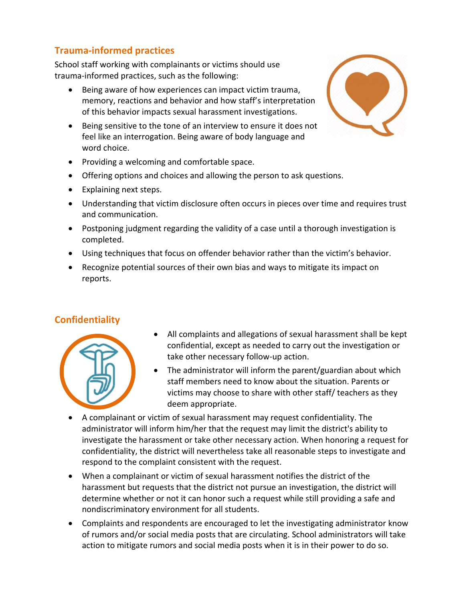## **Trauma‐informed practices**

School staff working with complainants or victims should use trauma‐informed practices, such as the following:

- Being aware of how experiences can impact victim trauma, memory, reactions and behavior and how staff's interpretation of this behavior impacts sexual harassment investigations.
- Being sensitive to the tone of an interview to ensure it does not feel like an interrogation. Being aware of body language and word choice.



- Providing a welcoming and comfortable space.
- Offering options and choices and allowing the person to ask questions.
- Explaining next steps.
- Understanding that victim disclosure often occurs in pieces over time and requires trust and communication.
- Postponing judgment regarding the validity of a case until a thorough investigation is completed.
- Using techniques that focus on offender behavior rather than the victim's behavior.
- Recognize potential sources of their own bias and ways to mitigate its impact on reports.

## **Confidentiality**



- All complaints and allegations of sexual harassment shall be kept confidential, except as needed to carry out the investigation or take other necessary follow‐up action.
- The administrator will inform the parent/guardian about which staff members need to know about the situation. Parents or victims may choose to share with other staff/ teachers as they deem appropriate.
- A complainant or victim of sexual harassment may request confidentiality. The administrator will inform him/her that the request may limit the district's ability to investigate the harassment or take other necessary action. When honoring a request for confidentiality, the district will nevertheless take all reasonable steps to investigate and respond to the complaint consistent with the request.
- When a complainant or victim of sexual harassment notifies the district of the harassment but requests that the district not pursue an investigation, the district will determine whether or not it can honor such a request while still providing a safe and nondiscriminatory environment for all students.
- Complaints and respondents are encouraged to let the investigating administrator know of rumors and/or social media posts that are circulating. School administrators will take action to mitigate rumors and social media posts when it is in their power to do so.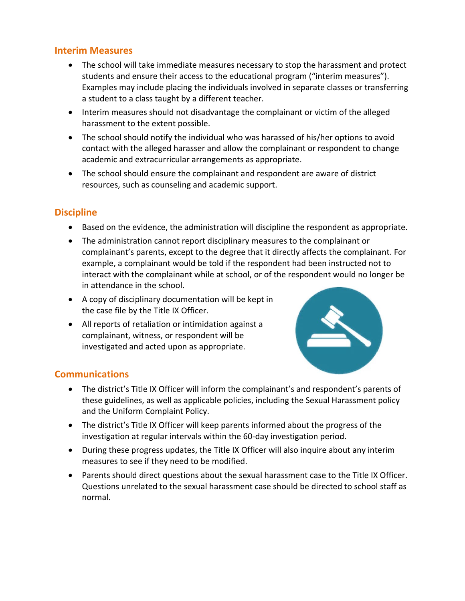## **Interim Measures**

- The school will take immediate measures necessary to stop the harassment and protect students and ensure their access to the educational program ("interim measures"). Examples may include placing the individuals involved in separate classes or transferring a student to a class taught by a different teacher.
- Interim measures should not disadvantage the complainant or victim of the alleged harassment to the extent possible.
- The school should notify the individual who was harassed of his/her options to avoid contact with the alleged harasser and allow the complainant or respondent to change academic and extracurricular arrangements as appropriate.
- The school should ensure the complainant and respondent are aware of district resources, such as counseling and academic support.

## **Discipline**

- Based on the evidence, the administration will discipline the respondent as appropriate.
- The administration cannot report disciplinary measures to the complainant or complainant's parents, except to the degree that it directly affects the complainant. For example, a complainant would be told if the respondent had been instructed not to interact with the complainant while at school, or of the respondent would no longer be in attendance in the school.
- A copy of disciplinary documentation will be kept in the case file by the Title IX Officer.
- All reports of retaliation or intimidation against a complainant, witness, or respondent will be investigated and acted upon as appropriate.



## **Communications**

- The district's Title IX Officer will inform the complainant's and respondent's parents of these guidelines, as well as applicable policies, including the Sexual Harassment policy and the Uniform Complaint Policy.
- The district's Title IX Officer will keep parents informed about the progress of the investigation at regular intervals within the 60‐day investigation period.
- During these progress updates, the Title IX Officer will also inquire about any interim measures to see if they need to be modified.
- Parents should direct questions about the sexual harassment case to the Title IX Officer. Questions unrelated to the sexual harassment case should be directed to school staff as normal.